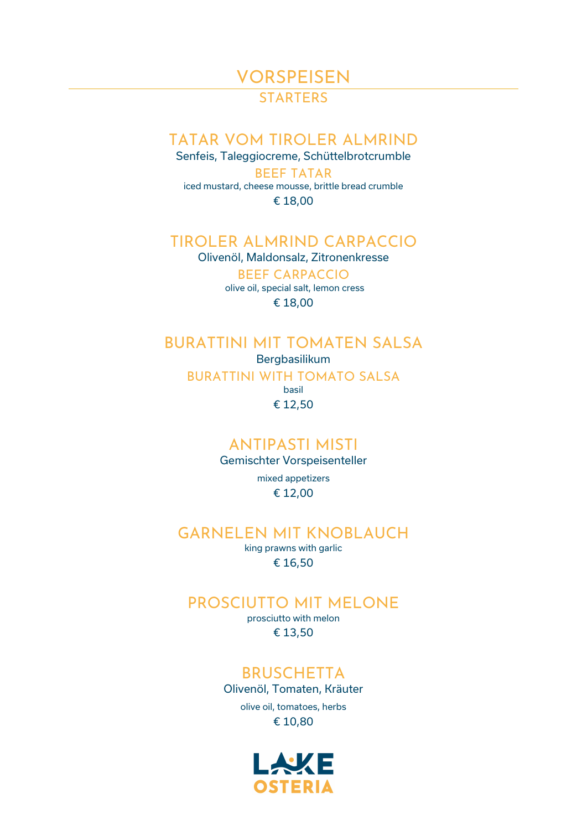**VORSPEISEN** 

**STARTERS** 

# TATAR VOM TIROLER ALMRIND

Senfeis, Taleggiocreme, Schüttelbrotcrumble BEEF TATAR iced mustard, cheese mousse, brittle bread crumble € 18,00

## TIROLER ALMRIND CARPACCIO

Olivenöl, Maldonsalz, Zitronenkresse

BEEF CARPACCIO olive oil, special salt, lemon cress € 18,00

# BURATTINI MIT TOMATEN SALSA Bergbasilikum

BURATTINI WITH TOMATO SALSA

basil € 12,50

# ANTIPASTI MISTI

Gemischter Vorspeisenteller

mixed appetizers € 12,00

## GARNELEN MIT KNOBLAUCH

king prawns with garlic € 16,50

## PROSCIUTTO MIT MELONE

prosciutto with melon € 13,50

## **BRUSCHETTA**

Olivenöl, Tomaten, Kräuter olive oil, tomatoes, herbs € 10,80

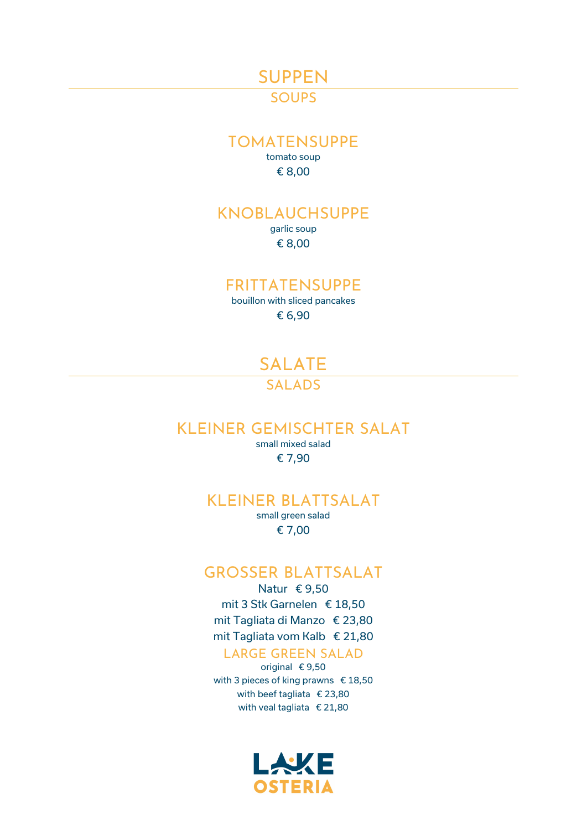## SUPPEN

# **SOUPS**

### TOMATENSUPPE

tomato soup € 8,00

# KNOBLAUCHSUPPE

garlic soup € 8,00

#### FRITTATENSUPPE

bouillon with sliced pancakes € 6,90

> SALATE **SALADS**

## KLEINER GEMISCHTER SALAT

small mixed salad € 7,90

#### KLEINER BLATTSALAT

small green salad € 7,00

### GROSSER BLATTSALAT

Natur € 9,50 mit 3 Stk Garnelen € 18,50 mit Tagliata di Manzo € 23,80 mit Tagliata vom Kalb € 21,80

#### LARGE GREEN SALAD

original € 9,50 with 3 pieces of king prawns € 18,50 with beef tagliata € 23,80 with veal tagliata € 21,80

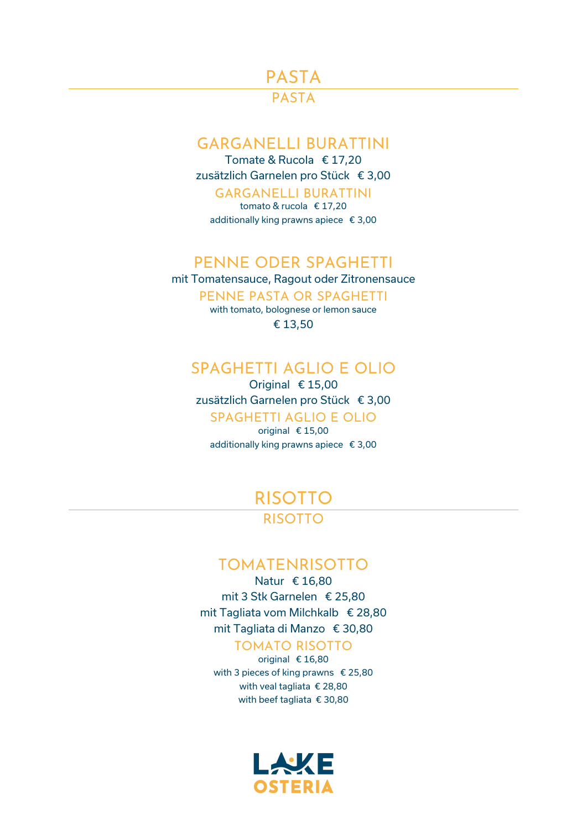# PASTA

# PASTA

## GARGANELLI BURATTINI

Tomate & Rucola € 17,20 zusätzlich Garnelen pro Stück € 3,00

### GARGANELLI BURATTINI

tomato & rucola € 17,20 additionally king prawns apiece € 3,00

## PENNE ODER SPAGHETTI

mit Tomatensauce, Ragout oder Zitronensauce

PENNE PASTA OR SPAGHETTI

with tomato, bolognese or lemon sauce € 13,50

## SPAGHETTI AGLIO E OLIO

Original € 15,00 zusätzlich Garnelen pro Stück € 3,00 SPAGHETTI AGLIO E OLIO

original € 15,00 additionally king prawns apiece € 3,00

> RISOTTO RISOTTO

## TOMATENRISOTTO

Natur € 16,80 mit 3 Stk Garnelen € 25,80 mit Tagliata vom Milchkalb € 28,80 mit Tagliata di Manzo € 30,80

#### TOMATO RISOTTO

original € 16,80 with 3 pieces of king prawns € 25,80 with veal tagliata € 28,80 with beef tagliata € 30,80

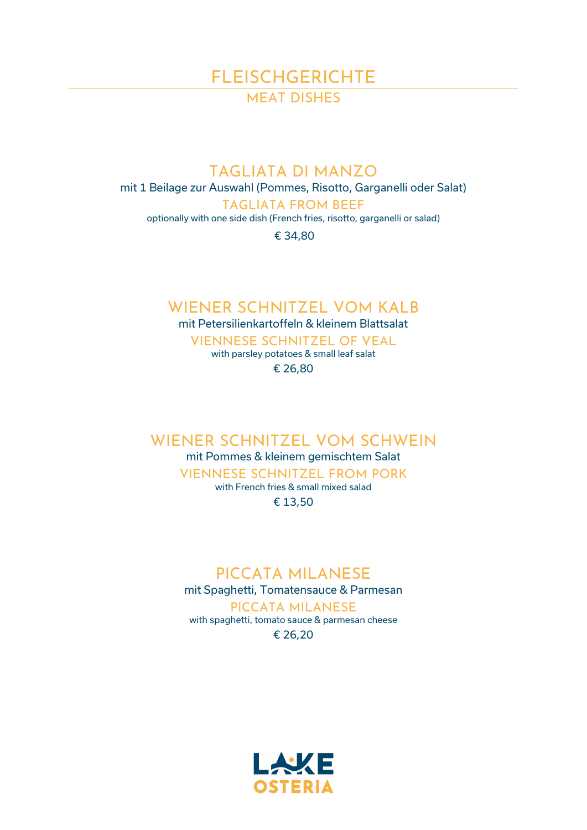# FLEISCHGERICHTE MEAT DISHES

## TAGLIATA DI MANZO

mit 1 Beilage zur Auswahl (Pommes, Risotto, Garganelli oder Salat)

TAGLIATA FROM BEEF

optionally with one side dish (French fries, risotto, garganelli or salad)

€ 34,80

# WIENER SCHNITZEL VOM KALB

mit Petersilienkartoffeln & kleinem Blattsalat

VIENNESE SCHNITZEL OF VEAL with parsley potatoes & small leaf salat

€ 26,80

## WIENER SCHNITZEL VOM SCHWEIN

mit Pommes & kleinem gemischtem Salat VIENNESE SCHNITZEL FROM PORK with French fries & small mixed salad

€ 13,50

# PICCATA MILANESE

mit Spaghetti, Tomatensauce & Parmesan PICCATA MILANESE

with spaghetti, tomato sauce & parmesan cheese € 26,20

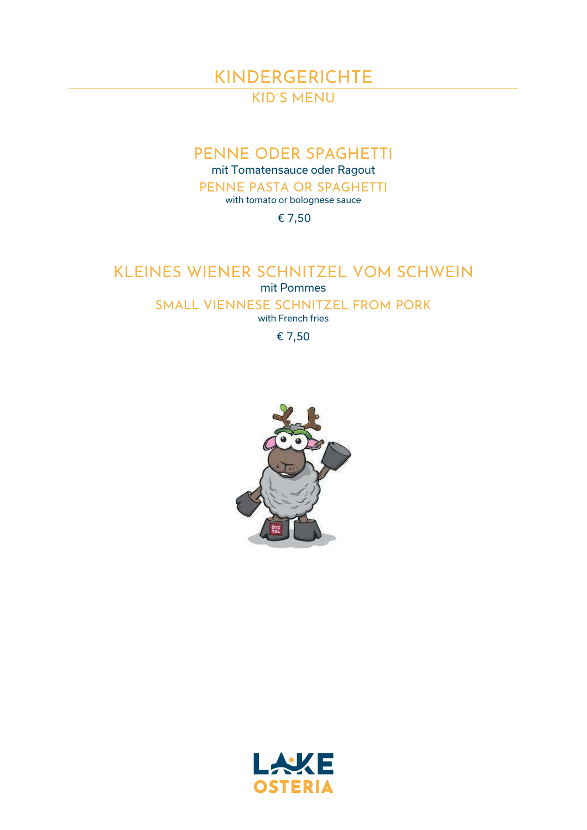# KINDERGERICHTE KID´S MENU

# PENNE ODER SPAGHETTI

mit Tomatensauce oder Ragout

PENNE PASTA OR SPAGHETTI with tomato or bolognese sauce

€ 7,50

# KLEINES WIENER SCHNITZEL VOM SCHWEIN

mit Pommes

SMALL VIENNESE SCHNITZEL FROM PORK

with French fries

€ 7,50



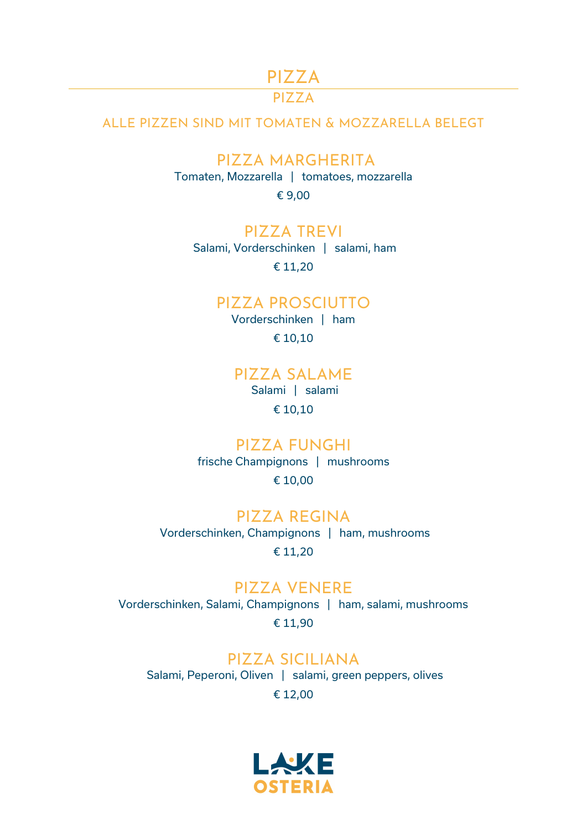# PIZZA

# $PI77A$

#### ALLE PIZZEN SIND MIT TOMATEN & MOZZARELLA BELEGT

# PIZZA MARGHERITA

Tomaten, Mozzarella | tomatoes, mozzarella

€ 9,00

#### PIZZA TREVI

Salami, Vorderschinken | salami, ham € 11,20

#### PIZZA PROSCIUTTO

Vorderschinken | ham € 10,10

### PIZZA SALAME

Salami | salami € 10,10

#### PIZZA FUNGHI

frische Champignons | mushrooms € 10,00

PIZZA REGINA Vorderschinken, Champignons | ham, mushrooms € 11,20

### PIZZA VENERE

Vorderschinken, Salami, Champignons | ham, salami, mushrooms € 11,90

# PIZZA SICILIANA

Salami, Peperoni, Oliven | salami, green peppers, olives € 12,00

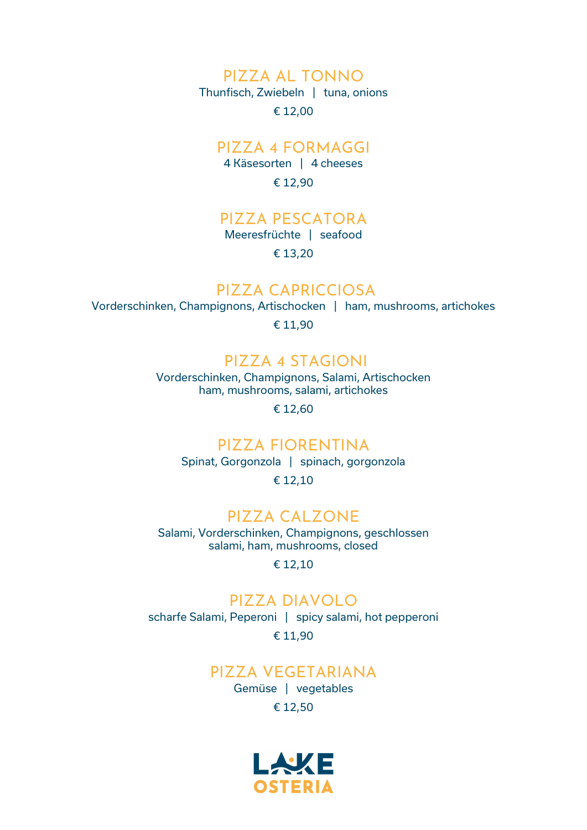## PIZZA AL TONNO

Thunfisch, Zwiebeln | tuna, onions

€ 12,00

### PIZZA 4 FORMAGGI

4 Käsesorten | 4 cheeses € 12,90

# PIZZA PESCATORA

Meeresfrüchte | seafood

€ 13,20

## PIZZA CAPRICCIOSA

Vorderschinken, Champignons, Artischocken | ham, mushrooms, artichokes

€ 11,90

## PIZZA 4 STAGIONI

Vorderschinken, Champignons, Salami, Artischocken ham, mushrooms, salami, artichokes

€ 12,60

## PIZZA FIORENTINA

Spinat, Gorgonzola | spinach, gorgonzola € 12,10

### PIZZA CALZONE

Salami, Vorderschinken, Champignons, geschlossen salami, ham, mushrooms, closed

€ 12,10

## PIZZA DIAVOLO

scharfe Salami, Peperoni | spicy salami, hot pepperoni € 11,90

### PIZZA VEGETARIANA

Gemüse | vegetables € 12,50